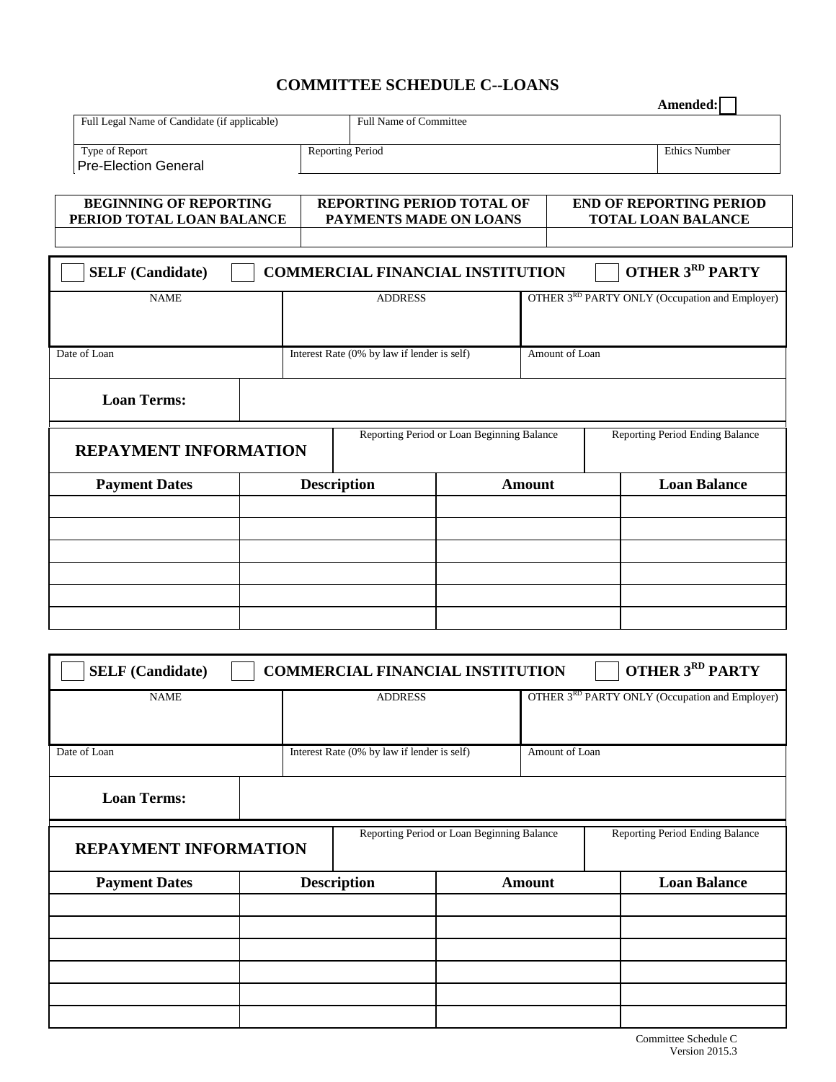## **COMMITTEE SCHEDULE C--LOANS**

|                                                            |                                             |                                                            |                      |                                                             | Amended:               |  |
|------------------------------------------------------------|---------------------------------------------|------------------------------------------------------------|----------------------|-------------------------------------------------------------|------------------------|--|
| Full Legal Name of Candidate (if applicable)               |                                             | <b>Full Name of Committee</b>                              |                      |                                                             |                        |  |
| Type of Report<br><b>Pre-Election General</b>              |                                             | <b>Reporting Period</b>                                    | <b>Ethics Number</b> |                                                             |                        |  |
| <b>BEGINNING OF REPORTING</b><br>PERIOD TOTAL LOAN BALANCE |                                             | <b>REPORTING PERIOD TOTAL OF</b><br>PAYMENTS MADE ON LOANS |                      | <b>END OF REPORTING PERIOD</b><br><b>TOTAL LOAN BALANCE</b> |                        |  |
| <b>SELF</b> (Candidate)                                    |                                             | <b>COMMERCIAL FINANCIAL INSTITUTION</b>                    |                      |                                                             | <b>OTHER 3RD PARTY</b> |  |
| <b>NAME</b>                                                |                                             | <b>ADDRESS</b>                                             |                      | OTHER 3 <sup>RD</sup> PARTY ONLY (Occupation and Employer)  |                        |  |
| Date of Loan                                               | Interest Rate (0% by law if lender is self) |                                                            |                      | Amount of Loan                                              |                        |  |
| <b>Loan Terms:</b>                                         |                                             |                                                            |                      |                                                             |                        |  |
| <b>REPAYMENT INFORMATION</b>                               |                                             | Reporting Period or Loan Beginning Balance                 |                      | Reporting Period Ending Balance                             |                        |  |
| <b>Payment Dates</b>                                       |                                             | <b>Description</b>                                         | <b>Amount</b>        |                                                             | <b>Loan Balance</b>    |  |
|                                                            |                                             |                                                            |                      |                                                             |                        |  |
|                                                            |                                             |                                                            |                      |                                                             |                        |  |
|                                                            |                                             |                                                            |                      |                                                             |                        |  |

| <b>OTHER 3RD PARTY</b><br><b>SELF</b> (Candidate)<br><b>COMMERCIAL FINANCIAL INSTITUTION</b> |  |                                             |  |                                                |                                 |  |  |
|----------------------------------------------------------------------------------------------|--|---------------------------------------------|--|------------------------------------------------|---------------------------------|--|--|
| <b>NAME</b>                                                                                  |  | <b>ADDRESS</b>                              |  | OTHER 3RD PARTY ONLY (Occupation and Employer) |                                 |  |  |
| Date of Loan                                                                                 |  | Interest Rate (0% by law if lender is self) |  |                                                | Amount of Loan                  |  |  |
| <b>Loan Terms:</b>                                                                           |  |                                             |  |                                                |                                 |  |  |
| <b>REPAYMENT INFORMATION</b>                                                                 |  | Reporting Period or Loan Beginning Balance  |  |                                                | Reporting Period Ending Balance |  |  |
| <b>Payment Dates</b>                                                                         |  | <b>Description</b>                          |  | <b>Amount</b>                                  | <b>Loan Balance</b>             |  |  |
|                                                                                              |  |                                             |  |                                                |                                 |  |  |
|                                                                                              |  |                                             |  |                                                |                                 |  |  |
|                                                                                              |  |                                             |  |                                                |                                 |  |  |